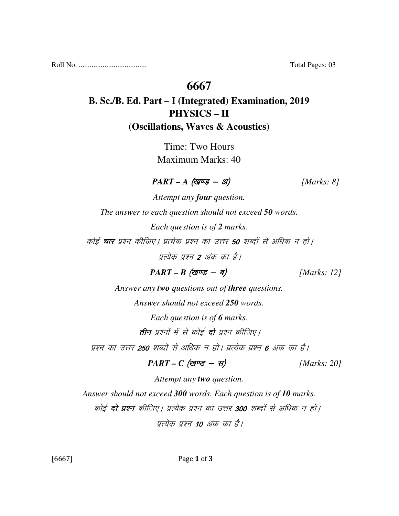Roll No. ..................................... Total Pages: 03

#### **6667**

## **B. Sc./B. Ed. Part – I (Integrated) Examination, 2019 PHYSICS – II (Oscillations, Waves & Acoustics)**

Time: Two Hours Maximum Marks: 40

 $\textit{PART - A} \text{ (gug - 3)}$  [Marks: 8]

*Attempt any four question. The answer to each question should not exceed 50 words. Each question is of 2 marks.*  कोई **चार** प्रश्न कीजिए। प्रत्येक प्रश्न का उत्तर **50** शब्दों से अधिक न हो। प्रत्येक प्रश्न 2 अंक का है।  $PART - B$  (*खण्ड* - *ब*) [*Marks: 12*]

*Answer any two questions out of three questions.* 

*Answer should not exceed 250 words.* 

*Each question is of 6 marks.*  तीन प्रश्नों में से कोई **दो** प्रश्न कीजिए।

प्रश्न का उत्तर **250** शब्दों से अधिक न हो। प्रत्येक प्रश्न **6** अंक का है।

$$
PART - C \text{ (gives - }\pi) \qquad [Marks: 20]
$$

*Attempt any two question. Answer should not exceed 300 words. Each question is of 10 marks.*  कोई **दो प्रश्न** कीजिए। प्रत्येक प्रश्न का उत्तर 300 शब्दों से अधिक न हो। प्रत्येक प्रश्न 10 अंक का है।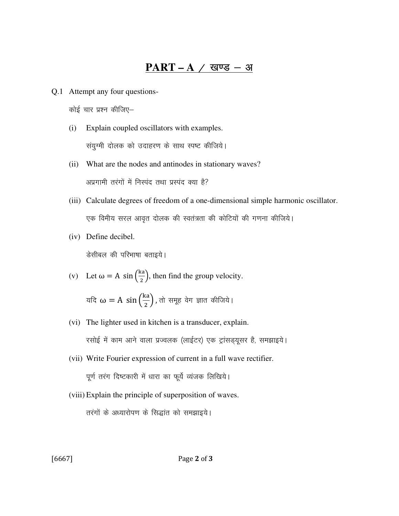### PART – A / खण्ड – अ

Q.1 Attempt any four questions-

कोई चार प्रश्न कीजिए–

- (i) Explain coupled oscillators with examples. संयुग्मी दोलक को उदाहरण के साथ स्पष्ट कीजिये।
- (ii) What are the nodes and antinodes in stationary waves? अप्रगामी तरंगों में निस्पंद तथा प्रस्पंद क्या है?
- (iii) Calculate degrees of freedom of a one-dimensional simple harmonic oscillator. एक विमीय सरल आवृत दोलक की स्वतंत्रता की कोटियों की गणना कीजिये।
- (iv) Define decibel. डेसीबल की परिभाषा बताइये।

(v) Let 
$$
\omega = A \sin(\frac{ka}{2})
$$
, then find the group velocity.

यदि  $\omega = A \, \sin \left( \frac{ka}{2} \right)$  $\binom{a}{2}$ , तो समूह वेग ज्ञात कीजिये।

- (vi) The lighter used in kitchen is a transducer, explain. रसोई में काम आने वाला प्रज्वलक (लाईटर) एक ट्रांसड्यूसर है, समझाइये।
- (vii) Write Fourier expression of current in a full wave rectifier. पूर्ण तरंग दिष्टकारी में धारा का फूर्य व्यंजक लिखिये।
- (viii) Explain the principle of superposition of waves. तरंगों के अध्यारोपण के सिद्धांत को समझाइये।